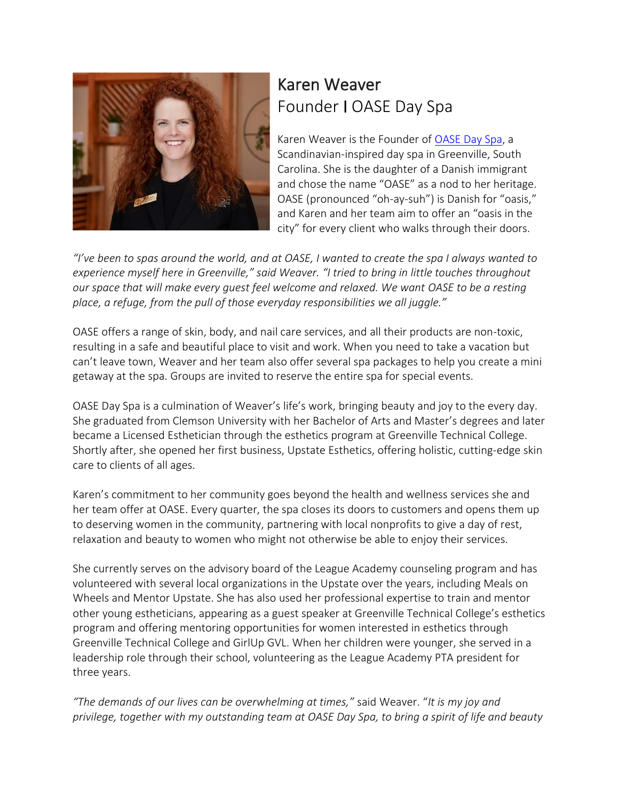

## Karen Weaver Founder I OASE Day Spa

Karen Weaver is the Founder of OASE [Day Spa,](https://www.oasedayspa.com/) a Scandinavian-inspired day spa in Greenville, South Carolina. She is the daughter of a Danish immigrant and chose the name "OASE" as a nod to her heritage. OASE (pronounced "oh-ay-suh") is Danish for "oasis," and Karen and her team aim to offer an "oasis in the city" for every client who walks through their doors.

*"I've been to spas around the world, and at OASE, I wanted to create the spa I always wanted to experience myself here in Greenville," said Weaver. "I tried to bring in little touches throughout our space that will make every guest feel welcome and relaxed. We want OASE to be a resting place, a refuge, from the pull of those everyday responsibilities we all juggle."*

OASE offers a range of skin, body, and nail care services, and all their products are non-toxic, resulting in a safe and beautiful place to visit and work. When you need to take a vacation but can't leave town, Weaver and her team also offer several spa packages to help you create a mini getaway at the spa. Groups are invited to reserve the entire spa for special events.

OASE Day Spa is a culmination of Weaver's life's work, bringing beauty and joy to the every day. She graduated from Clemson University with her Bachelor of Arts and Master's degrees and later became a Licensed Esthetician through the esthetics program at Greenville Technical College. Shortly after, she opened her first business, Upstate Esthetics, offering holistic, cutting-edge skin care to clients of all ages.

Karen's commitment to her community goes beyond the health and wellness services she and her team offer at OASE. Every quarter, the spa closes its doors to customers and opens them up to deserving women in the community, partnering with local nonprofits to give a day of rest, relaxation and beauty to women who might not otherwise be able to enjoy their services.

She currently serves on the advisory board of the League Academy counseling program and has volunteered with several local organizations in the Upstate over the years, including Meals on Wheels and Mentor Upstate. She has also used her professional expertise to train and mentor other young estheticians, appearing as a guest speaker at Greenville Technical College's esthetics program and offering mentoring opportunities for women interested in esthetics through Greenville Technical College and GirlUp GVL. When her children were younger, she served in a leadership role through their school, volunteering as the League Academy PTA president for three years.

*"The demands of our lives can be overwhelming at times,"* said Weaver. "*It is my joy and privilege, together with my outstanding team at OASE Day Spa, to bring a spirit of life and beauty*